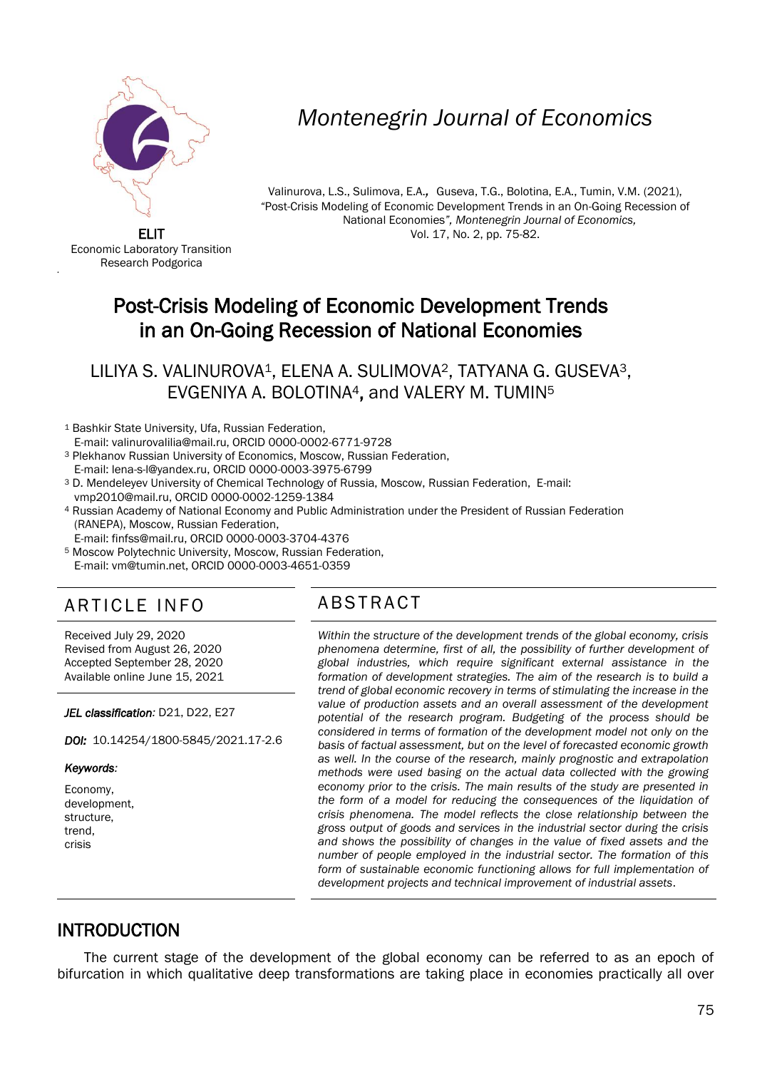

# *Montenegrin Journal of Economics*

Valinurova, L.S., Sulimova, E.A.*,* Guseva, T.G., Bolotina, E.A., Tumin, V.M. (2021), *"*Post-Crisis Modeling of Economic Development Trends in an On-Going Recession of National Economies*", Montenegrin Journal of Economics,*  Vol. 17, No. 2, pp. 75-82.

ELIT Economic Laboratory Transition Research Podgorica

'

# Post-Crisis Modeling of Economic Development Trends in an On-Going Recession of National Economies

LILIYA S. VALINUROVA1, ELENA A. SULIMOVA2, TATYANA G. GUSEVA3, EVGENIYA A. BOLOTINA4, and VALERY M. TUMIN<sup>5</sup>

- <sup>1</sup> Bashkir State University, Ufa, Russian Federation,
- E-mail: valinurovalilia@mail.ru, ORCID 0000-0002-6771-9728
- <sup>3</sup> Plekhanov Russian University of Economics, Moscow, Russian Federation,
- E-mail: lena-s-l@yandex.ru, ORCID 0000-0003-3975-6799
- <sup>3</sup> D. Mendeleyev University of Chemical Technology of Russia, Moscow, Russian Federation, E-mail: vmp2010@mail.ru, ORCID 0000-0002-1259-1384
- <sup>4</sup> Russian Academy of National Economy and Public Administration under the President of Russian Federation (RANEPA), Moscow, Russian Federation,
- E-mail: finfss@mail.ru, ORCID 0000-0003-3704-4376
- <sup>5</sup> Moscow Polytechnic University, Moscow, Russian Federation, E-mail: vm@tumin.net, ORCID 0000-0003-4651-0359

## ARTICLE INFO ABSTRACT

Received July 29, 2020 Revised from August 26, 2020 Accepted September 28, 2020 Available online June 15, 2021

*JEL classification:* D21, D22, E27

*DOI:* 10.14254/1800-5845/2021.17-2.6

#### *Keywords:*

Economy, development, structure, trend, crisis

 *Within the structure of the development trends of the global economy, crisis phenomena determine, first of all, the possibility of further development of global industries, which require significant external assistance in the formation of development strategies. The aim of the research is to build a trend of global economic recovery in terms of stimulating the increase in the value of production assets and an overall assessment of the development potential of the research program. Budgeting of the process should be considered in terms of formation of the development model not only on the basis of factual assessment, but on the level of forecasted economic growth as well. In the course of the research, mainly prognostic and extrapolation methods were used basing on the actual data collected with the growing economy prior to the crisis. The main results of the study are presented in the form of a model for reducing the consequences of the liquidation of crisis phenomena. The model reflects the close relationship between the gross output of goods and services in the industrial sector during the crisis and shows the possibility of changes in the value of fixed assets and the number of people employed in the industrial sector. The formation of this*  form of sustainable economic functioning allows for full implementation of *development projects and technical improvement of industrial assets*.

## INTRODUCTION

The current stage of the development of the global economy can be referred to as an epoch of bifurcation in which qualitative deep transformations are taking place in economies practically all over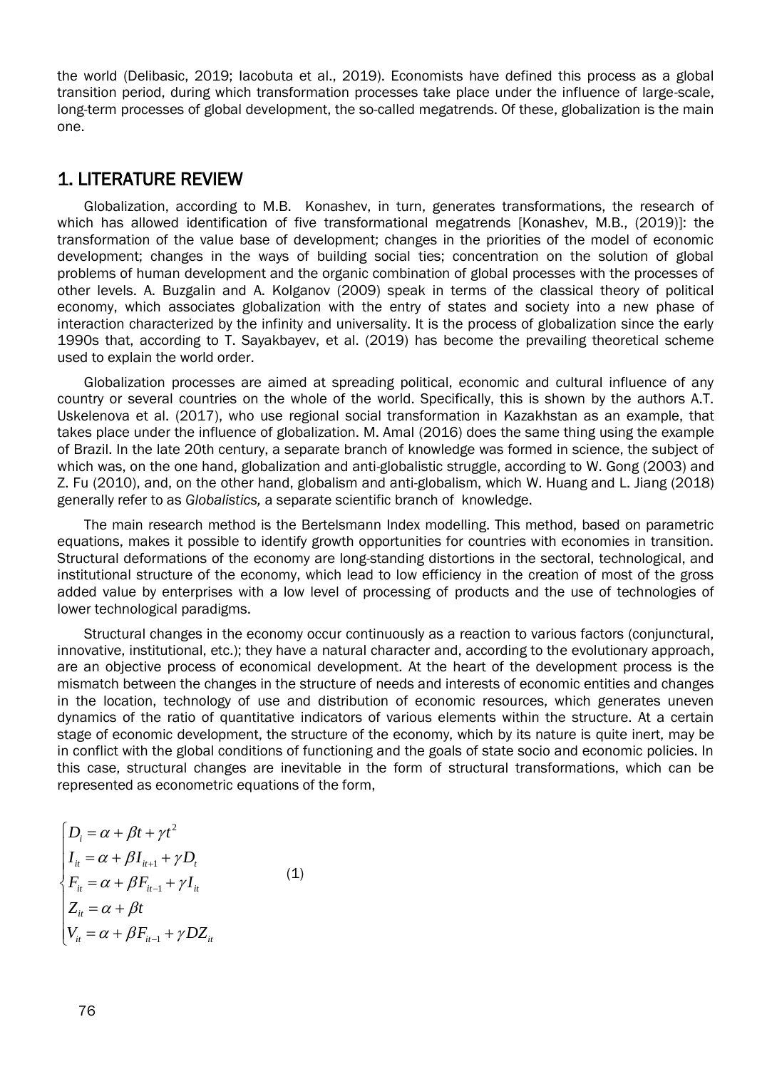the world (Delibasic, 2019; Iacobuta et al., 2019). Economists have defined this process as a global transition period, during which transformation processes take place under the influence of large-scale, long-term processes of global development, the so-called megatrends. Of these, globalization is the main one.

## 1. LITERATURE REVIEW

Globalization, according to M.B. Konashev, in turn, generates transformations, the research of which has allowed identification of five transformational megatrends [Konashev, M.B., (2019)]: the transformation of the value base of development; changes in the priorities of the model of economic development; changes in the ways of building social ties; concentration on the solution of global problems of human development and the organic combination of global processes with the processes of other levels. A. Buzgalin and A. Kolganov (2009) speak in terms of the classical theory of political economy, which associates globalization with the entry of states and society into a new phase of interaction characterized by the infinity and universality. It is the process of globalization since the early 1990s that, according to T. Sayakbayev, et al. (2019) has become the prevailing theoretical scheme used to explain the world order.

Globalization processes are aimed at spreading political, economic and cultural influence of any country or several countries on the whole of the world. Specifically, this is shown by the authors A.T. Uskelenova et al. (2017), who use regional social transformation in Kazakhstan as an example, that takes place under the influence of globalization. M. Amal (2016) does the same thing using the example of Brazil. In the late 20th century, a separate branch of knowledge was formed in science, the subject of which was, on the one hand, globalization and anti-globalistic struggle, according to W. Gong (2003) and Z. Fu (2010), and, on the other hand, globalism and anti-globalism, which W. Huang and L. Jiang (2018) generally refer to as *Globalistics,* a separate scientific branch of knowledge.

The main research method is the Bertelsmann Index modelling. This method, based on parametric equations, makes it possible to identify growth opportunities for countries with economies in transition. Structural deformations of the economy are long-standing distortions in the sectoral, technological, and institutional structure of the economy, which lead to low efficiency in the creation of most of the gross added value by enterprises with a low level of processing of products and the use of technologies of lower technological paradigms.

Structural changes in the economy occur continuously as a reaction to various factors (conjunctural, innovative, institutional, etc.); they have a natural character and, according to the evolutionary approach, are an objective process of economical development. At the heart of the development process is the mismatch between the changes in the structure of needs and interests of economic entities and changes in the location, technology of use and distribution of economic resources, which generates uneven dynamics of the ratio of quantitative indicators of various elements within the structure. At a certain stage of economic development, the structure of the economy, which by its nature is quite inert, may be in conflict with the global conditions of functioning and the goals of state socio and economic policies. In this case, structural changes are inevitable in the form of structural transformations, which can be represented as econometric equations of the form,

$$
\begin{cases}\nD_i = \alpha + \beta t + \gamma t^2 \\
I_{ii} = \alpha + \beta I_{i+1} + \gamma D_t \\
F_{ii} = \alpha + \beta F_{i+1} + \gamma I_{it} \\
Z_{ii} = \alpha + \beta t \\
V_{ii} = \alpha + \beta F_{i+1} + \gamma DZ_{it}\n\end{cases}
$$
\n(1)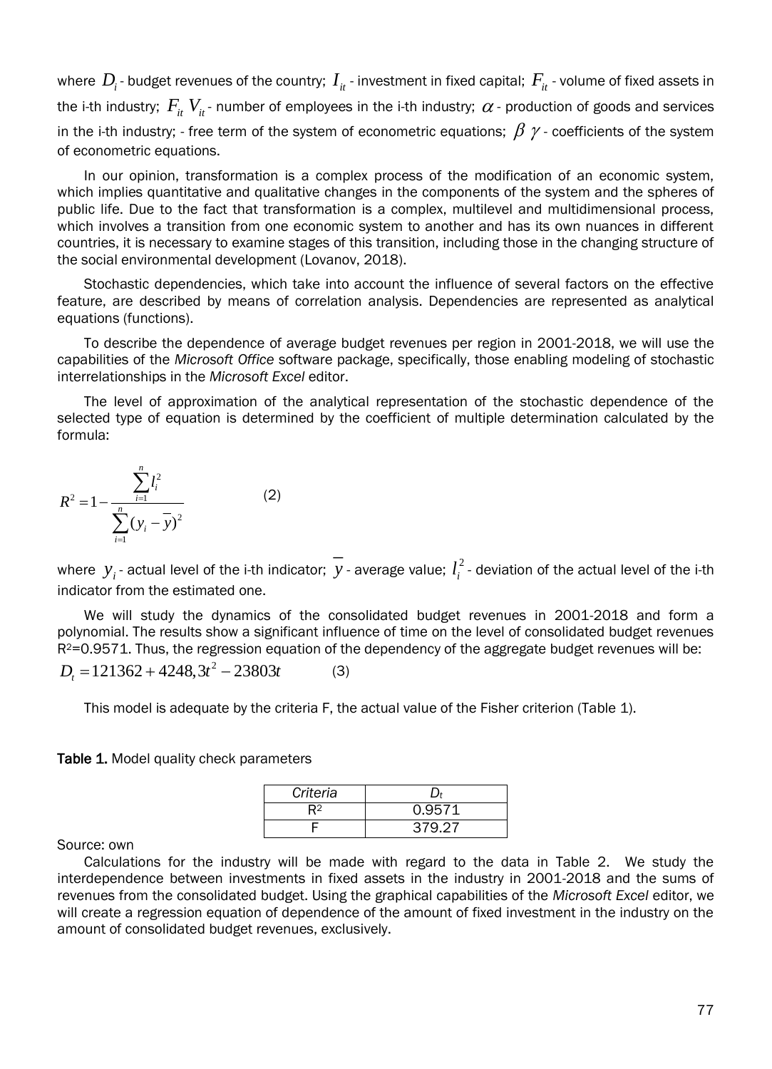where  $\,D_i$ - budget revenues of the country;  $\,I_{it}$  - investment in fixed capital;  $\,F_{it}$  - volume of fixed assets in the i-th industry;  $\,F^{\,}_{it}\,V^{\,}_{it}$ - number of employees in the i-th industry;  $\,\alpha$  - production of goods and services in the i-th industry; - free term of the system of econometric equations;  $\,\beta\,$   $\gamma$  - coefficients of the system of econometric equations.

In our opinion, transformation is a complex process of the modification of an economic system, which implies quantitative and qualitative changes in the components of the system and the spheres of public life. Due to the fact that transformation is a complex, multilevel and multidimensional process, which involves a transition from one economic system to another and has its own nuances in different countries, it is necessary to examine stages of this transition, including those in the changing structure of the social environmental development (Lovanov, 2018).

Stochastic dependencies, which take into account the influence of several factors on the effective feature, are described by means of correlation analysis. Dependencies are represented as analytical equations (functions).

To describe the dependence of average budget revenues per region in 2001-2018, we will use the capabilities of the *Microsoft Office* software package, specifically, those enabling modeling of stochastic interrelationships in the *Microsoft Excel* editor.

The level of approximation of the analytical representation of the stochastic dependence of the selected type of equation is determined by the coefficient of multiple determination calculated by the formula:

$$
R^{2} = 1 - \frac{\sum_{i=1}^{n} l_{i}^{2}}{\sum_{i=1}^{n} (y_{i} - \overline{y})^{2}}
$$
 (2)

where  $y_i$  - actual level of the i-th indicator;  $y$  - average value;  $l_i^2$  $l_i^2$  - deviation of the actual level of the i-th indicator from the estimated one.

We will study the dynamics of the consolidated budget revenues in 2001-2018 and form a polynomial. The results show a significant influence of time on the level of consolidated budget revenues  $R<sup>2</sup>=0.9571$ . Thus, the regression equation of the dependency of the aggregate budget revenues will be:  $D_t = 121362 + 4248, 3t^2 - 23803t$ (3)

This model is adequate by the criteria F, the actual value of the Fisher criterion (Table 1).

Table 1. Model quality check parameters

| Criteria | D+     |
|----------|--------|
|          | 0.9571 |
|          | 379.27 |

Source: own

Calculations for the industry will be made with regard to the data in Table 2. We study the interdependence between investments in fixed assets in the industry in 2001-2018 and the sums of revenues from the consolidated budget. Using the graphical capabilities of the *Microsoft Excel* editor, we will create a regression equation of dependence of the amount of fixed investment in the industry on the amount of consolidated budget revenues, exclusively.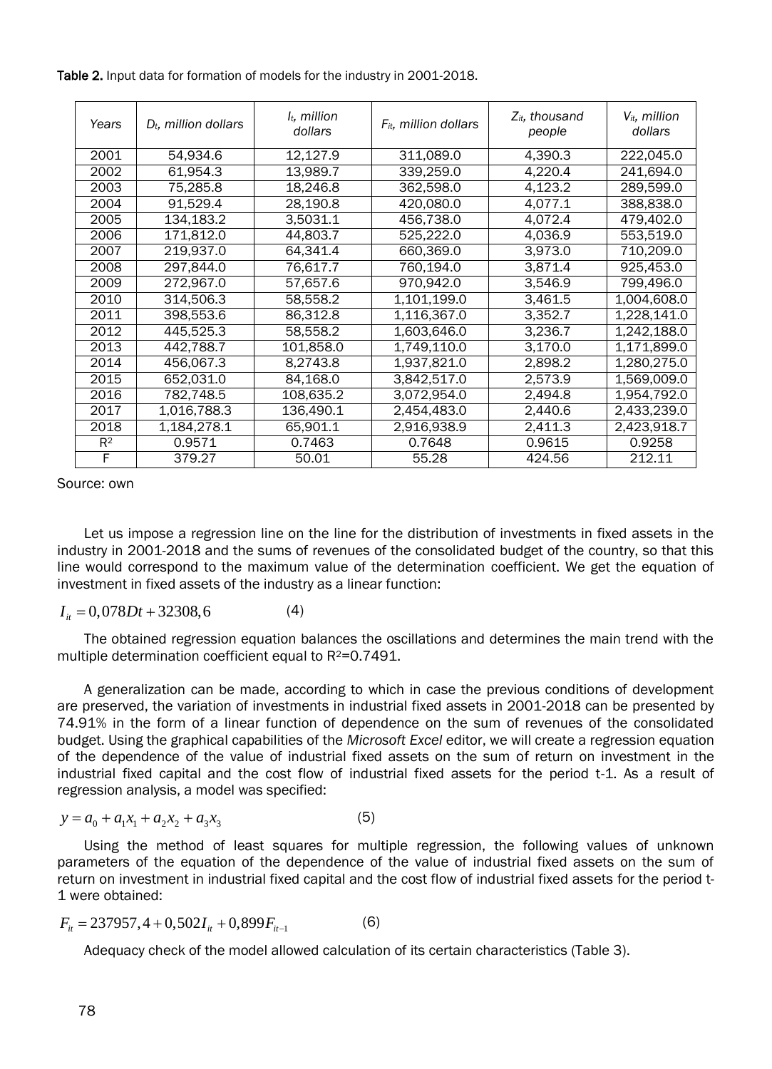Table 2. Input data for formation of models for the industry in 2001-2018.

| Years | $D_t$ , million dollars | $l_t$ , million<br>dollars | $F_{it}$ , million dollars | $Z_{it}$ , thousand<br>people | $V_{it}$ , million<br>dollars |
|-------|-------------------------|----------------------------|----------------------------|-------------------------------|-------------------------------|
| 2001  | 54,934.6                | 12,127.9                   | 311,089.0                  | 4,390.3                       | 222,045.0                     |
| 2002  | 61,954.3                | 13,989.7                   | 339,259.0                  | 4,220.4                       | 241,694.0                     |
| 2003  | 75,285.8                | 18,246.8                   | 362,598.0                  | 4,123.2                       | 289,599.0                     |
| 2004  | 91,529.4                | 28,190.8                   | 420,080.0                  | 4,077.1                       | 388,838.0                     |
| 2005  | 134,183.2               | 3.5031.1                   | 456,738.0                  | 4.072.4                       | 479.402.0                     |
| 2006  | 171,812.0               | 44,803.7                   | 525,222.0                  | 4,036.9                       | 553,519.0                     |
| 2007  | 219,937.0               | 64,341.4                   | 660,369.0                  | 3,973.0                       | 710,209.0                     |
| 2008  | 297,844.0               | 76,617.7                   | 760,194.0                  | 3,871.4                       | 925,453.0                     |
| 2009  | 272,967.0               | 57,657.6                   | 970,942.0                  | 3,546.9                       | 799,496.0                     |
| 2010  | 314,506.3               | 58,558.2                   | 1,101,199.0                | 3,461.5                       | 1,004,608.0                   |
| 2011  | 398,553.6               | 86,312.8                   | 1,116,367.0                | 3,352.7                       | 1,228,141.0                   |
| 2012  | 445,525.3               | 58,558.2                   | 1,603,646.0                | 3,236.7                       | 1,242,188.0                   |
| 2013  | 442,788.7               | 101,858.0                  | 1,749,110.0                | 3,170.0                       | 1,171,899.0                   |
| 2014  | 456,067.3               | 8,2743.8                   | 1,937,821.0                | 2,898.2                       | 1,280,275.0                   |
| 2015  | 652,031.0               | 84,168.0                   | 3,842,517.0                | 2,573.9                       | 1,569,009.0                   |
| 2016  | 782,748.5               | 108,635.2                  | 3,072,954.0                | 2,494.8                       | 1,954,792.0                   |
| 2017  | 1,016,788.3             | 136,490.1                  | 2,454,483.0                | 2,440.6                       | 2,433,239.0                   |
| 2018  | 1,184,278.1             | 65,901.1                   | 2,916,938.9                | 2,411.3                       | 2,423,918.7                   |
| $R^2$ | 0.9571                  | 0.7463                     | 0.7648                     | 0.9615                        | 0.9258                        |
| F     | 379.27                  | 50.01                      | 55.28                      | 424.56                        | 212.11                        |

Source: own

Let us impose a regression line on the line for the distribution of investments in fixed assets in the industry in 2001-2018 and the sums of revenues of the consolidated budget of the country, so that this line would correspond to the maximum value of the determination coefficient. We get the equation of investment in fixed assets of the industry as a linear function:

$$
I_{it} = 0,078Dt + 32308,6
$$
 (4)

The obtained regression equation balances the oscillations and determines the main trend with the multiple determination coefficient equal to  $R^2$ =0.7491.

A generalization can be made, according to which in case the previous conditions of development are preserved, the variation of investments in industrial fixed assets in 2001-2018 can be presented by 74.91% in the form of a linear function of dependence on the sum of revenues of the consolidated budget. Using the graphical capabilities of the *Microsoft Excel* editor, we will create a regression equation of the dependence of the value of industrial fixed assets on the sum of return on investment in the industrial fixed capital and the cost flow of industrial fixed assets for the period t-1. As a result of regression analysis, a model was specified:

$$
y = a_0 + a_1 x_1 + a_2 x_2 + a_3 x_3 \tag{5}
$$

Using the method of least squares for multiple regression, the following values of unknown parameters of the equation of the dependence of the value of industrial fixed assets on the sum of return on investment in industrial fixed capital and the cost flow of industrial fixed assets for the period t-1 were obtained:

$$
F_{ii} = 237957, 4 + 0,502I_{ii} + 0,899F_{ii-1}
$$
 (6)

Adequacy check of the model allowed calculation of its certain characteristics (Table 3).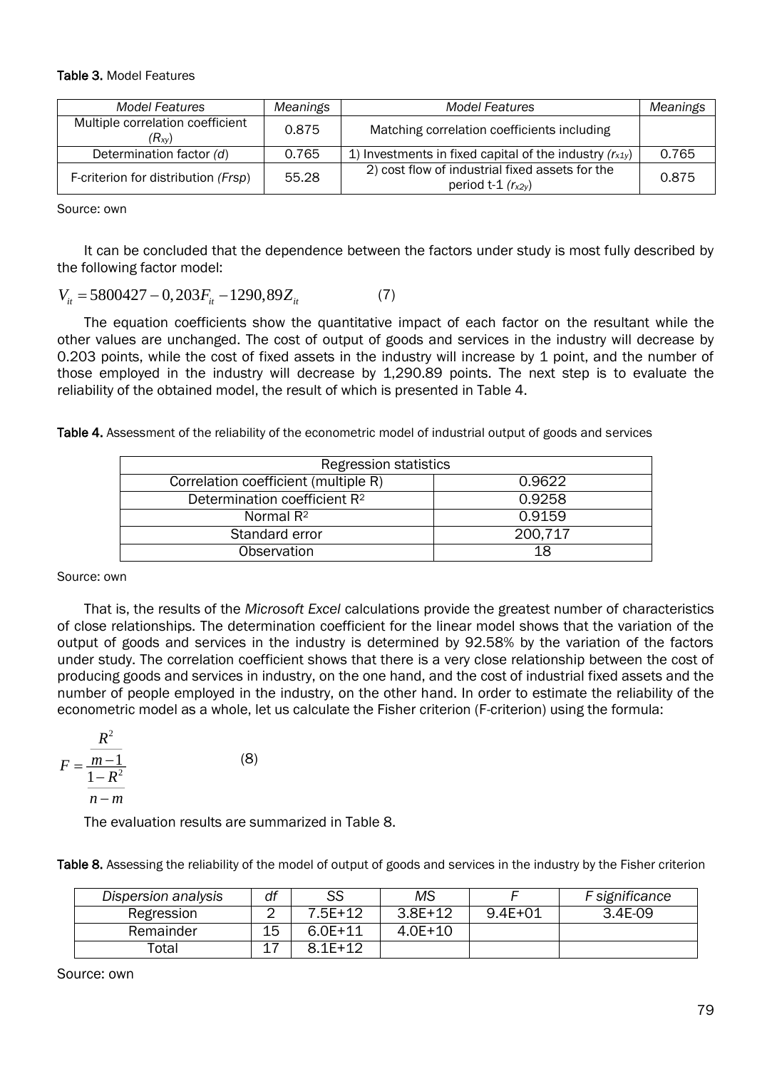#### Table 3. Model Features

| <b>Model Features</b>                          | Meanings | <b>Model Features</b>                                                     | Meanings |
|------------------------------------------------|----------|---------------------------------------------------------------------------|----------|
| Multiple correlation coefficient<br>$(R_{xy})$ | 0.875    | Matching correlation coefficients including                               |          |
| Determination factor (d)                       | 0.765    | 1) Investments in fixed capital of the industry $(r_{x1y})$               | 0.765    |
| F-criterion for distribution (Frsp)            | 55.28    | 2) cost flow of industrial fixed assets for the<br>period t-1 $(r_{x2y})$ | 0.875    |

Source: own

It can be concluded that the dependence between the factors under study is most fully described by the following factor model:

 $V_{it} = 5800427 - 0,203 F_{it} - 1290,89 Z_{it}$ (7)

The equation coefficients show the quantitative impact of each factor on the resultant while the other values are unchanged. The cost of output of goods and services in the industry will decrease by 0.203 points, while the cost of fixed assets in the industry will increase by 1 point, and the number of those employed in the industry will decrease by 1,290.89 points. The next step is to evaluate the reliability of the obtained model, the result of which is presented in Table 4.

Table 4. Assessment of the reliability of the econometric model of industrial output of goods and services

| <b>Regression statistics</b>             |         |  |  |  |
|------------------------------------------|---------|--|--|--|
| Correlation coefficient (multiple R)     | 0.9622  |  |  |  |
| Determination coefficient R <sup>2</sup> | 0.9258  |  |  |  |
| Normal $R2$                              | 0.9159  |  |  |  |
| Standard error                           | 200,717 |  |  |  |
| Observation                              | 18      |  |  |  |

Source: own

That is, the results of the *Microsoft Excel* calculations provide the greatest number of characteristics of close relationships. The determination coefficient for the linear model shows that the variation of the output of goods and services in the industry is determined by 92.58% by the variation of the factors under study. The correlation coefficient shows that there is a very close relationship between the cost of producing goods and services in industry, on the one hand, and the cost of industrial fixed assets and the number of people employed in the industry, on the other hand. In order to estimate the reliability of the econometric model as a whole, let us calculate the Fisher criterion (F-criterion) using the formula:

$$
F = \frac{\frac{R^2}{m-1}}{\frac{1-R^2}{n-m}}
$$

The evaluation results are summarized in Table 8.

(8)

Table 8. Assessing the reliability of the model of output of goods and services in the industry by the Fisher criterion

| Dispersion analysis | df | SS          | ΜS        |         | F significance |
|---------------------|----|-------------|-----------|---------|----------------|
| Regression          |    | 7.5E+12     | $3.8E+12$ | 9.4E+01 | 3.4E-09        |
| Remainder           | 15 | $6.0E + 11$ | 4.0E+10   |         |                |
| Гоtal               |    | $8.1F+12$   |           |         |                |

Source: own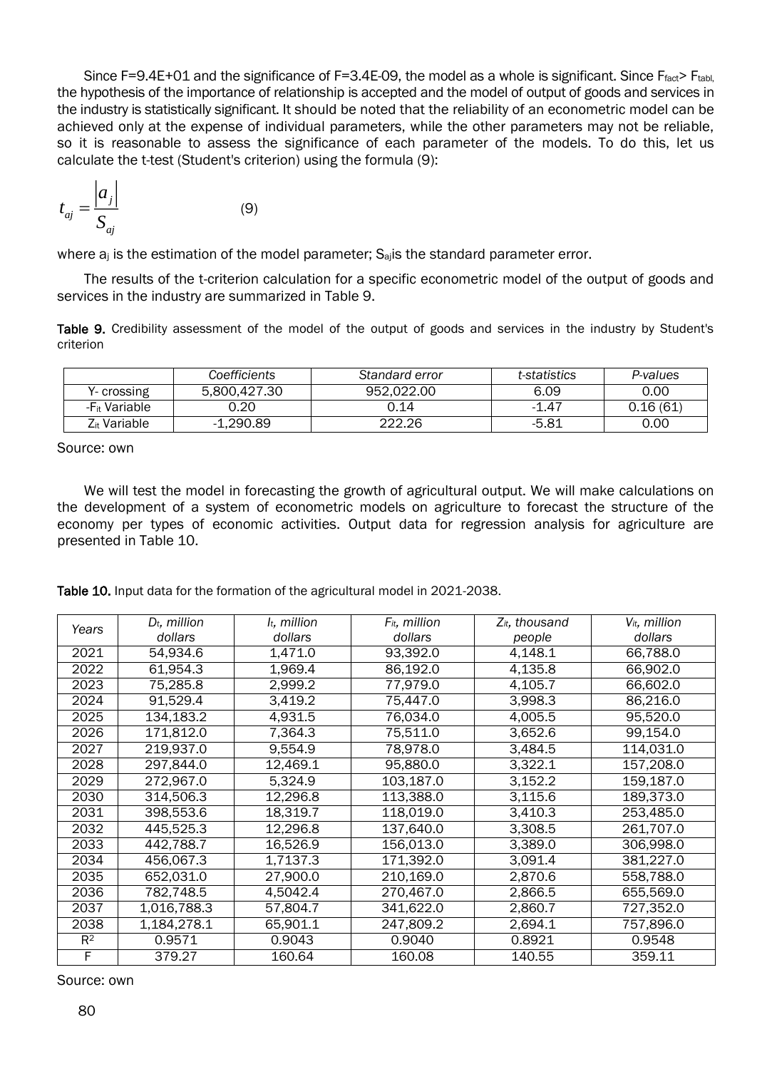Since F=9.4E+01 and the significance of F=3.4E-09, the model as a whole is significant. Since Ffact> Ftabl, the hypothesis of the importance of relationship is accepted and the model of output of goods and services in the industry is statistically significant. It should be noted that the reliability of an econometric model can be achieved only at the expense of individual parameters, while the other parameters may not be reliable, so it is reasonable to assess the significance of each parameter of the models. To do this, let us calculate the t-test (Student's criterion) using the formula (9):

$$
t_{aj} = \frac{\left| a_{j} \right|}{S_{aj}}
$$

where  $a_j$  is the estimation of the model parameter;  $S_{aj}$  is the standard parameter error.

(9)

The results of the t-criterion calculation for a specific econometric model of the output of goods and services in the industry are summarized in Table 9.

Table 9. Credibility assessment of the model of the output of goods and services in the industry by Student's criterion

|                           | Coefficients | Standard error | t-statistics | P-values |
|---------------------------|--------------|----------------|--------------|----------|
| Y- crossing               | 5.800.427.30 | 952.022.00     | 6.09         | 0.00     |
| -F <sub>it</sub> Variable | ว.20         | 0.14           | -1.47        | 0.16(61) |
| Z <sub>it</sub> Variable  | $-1.290.89$  | 222.26         | -5.81        | 0.00     |

Source: own

We will test the model in forecasting the growth of agricultural output. We will make calculations on the development of a system of econometric models on agriculture to forecast the structure of the economy per types of economic activities. Output data for regression analysis for agriculture are presented in Table 10.

Table 10. Input data for the formation of the agricultural model in 2021-2038.

|       | $D_t$ , million | $l_t$ , million | $F_{it}$ , million | $Z_{it}$ , thousand | V <sub>it</sub> , million |
|-------|-----------------|-----------------|--------------------|---------------------|---------------------------|
| Years | dollars         | dollars         | dollars            | people              | dollars                   |
| 2021  | 54,934.6        | 1,471.0         | 93,392.0           | 4,148.1             | 66,788.0                  |
| 2022  | 61,954.3        | 1,969.4         | 86,192.0           | 4,135.8             | 66,902.0                  |
| 2023  | 75,285.8        | 2,999.2         | 77,979.0           | 4,105.7             | 66,602.0                  |
| 2024  | 91,529.4        | 3,419.2         | 75,447.0           | 3,998.3             | 86,216.0                  |
| 2025  | 134,183.2       | 4,931.5         | 76,034.0           | 4,005.5             | 95,520.0                  |
| 2026  | 171,812.0       | 7,364.3         | 75,511.0           | 3,652.6             | 99,154.0                  |
| 2027  | 219,937.0       | 9,554.9         | 78,978.0           | 3,484.5             | 114,031.0                 |
| 2028  | 297,844.0       | 12,469.1        | 95,880.0           | 3,322.1             | 157,208.0                 |
| 2029  | 272,967.0       | 5,324.9         | 103,187.0          | 3,152.2             | 159,187.0                 |
| 2030  | 314,506.3       | 12,296.8        | 113,388.0          | 3,115.6             | 189,373.0                 |
| 2031  | 398,553.6       | 18,319.7        | 118,019.0          | 3,410.3             | 253,485.0                 |
| 2032  | 445,525.3       | 12,296.8        | 137,640.0          | 3,308.5             | 261,707.0                 |
| 2033  | 442,788.7       | 16,526.9        | 156,013.0          | 3,389.0             | 306,998.0                 |
| 2034  | 456,067.3       | 1,7137.3        | 171,392.0          | 3,091.4             | 381,227.0                 |
| 2035  | 652.031.0       | 27,900.0        | 210,169.0          | 2,870.6             | 558,788.0                 |
| 2036  | 782,748.5       | 4,5042.4        | 270,467.0          | 2,866.5             | 655,569.0                 |
| 2037  | 1,016,788.3     | 57,804.7        | 341,622.0          | 2,860.7             | 727,352.0                 |
| 2038  | 1,184,278.1     | 65.901.1        | 247,809.2          | 2,694.1             | 757,896.0                 |
| $R^2$ | 0.9571          | 0.9043          | 0.9040             | 0.8921              | 0.9548                    |
| F     | 379.27          | 160.64          | 160.08             | 140.55              | 359.11                    |

Source: own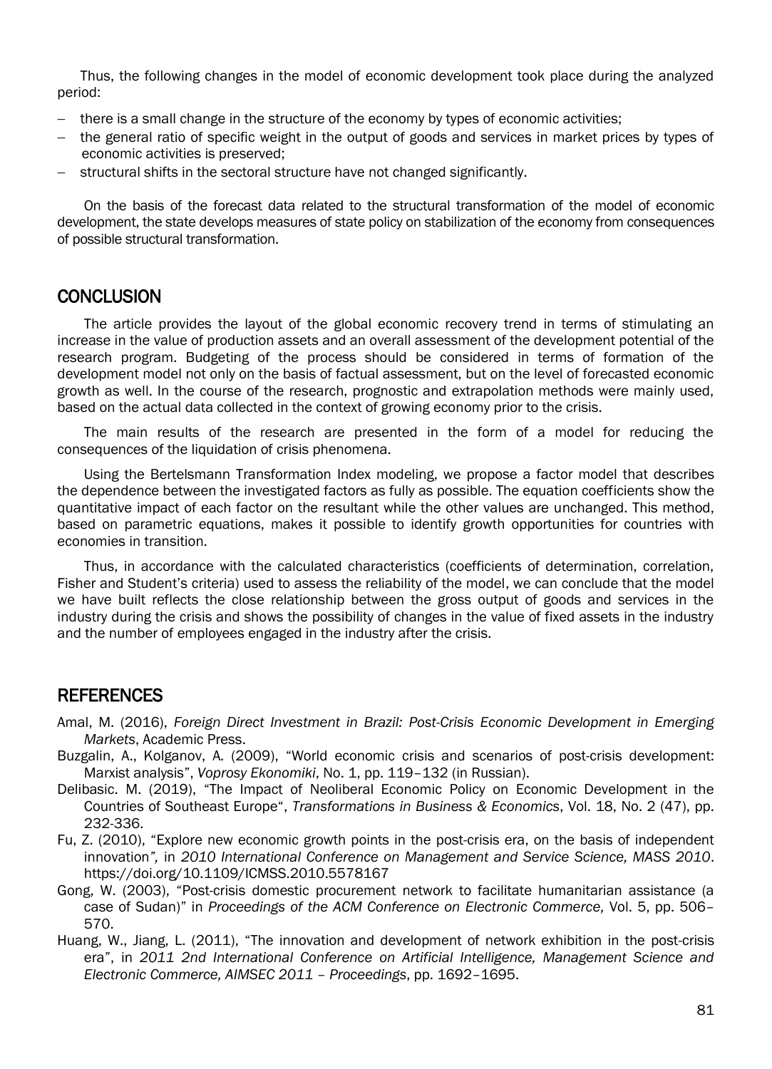Thus, the following changes in the model of economic development took place during the analyzed period:

- there is a small change in the structure of the economy by types of economic activities;
- $-$  the general ratio of specific weight in the output of goods and services in market prices by types of economic activities is preserved;
- structural shifts in the sectoral structure have not changed significantly.

On the basis of the forecast data related to the structural transformation of the model of economic development, the state develops measures of state policy on stabilization of the economy from consequences of possible structural transformation.

### **CONCLUSION**

The article provides the layout of the global economic recovery trend in terms of stimulating an increase in the value of production assets and an overall assessment of the development potential of the research program. Budgeting of the process should be considered in terms of formation of the development model not only on the basis of factual assessment, but on the level of forecasted economic growth as well. In the course of the research, prognostic and extrapolation methods were mainly used, based on the actual data collected in the context of growing economy prior to the crisis.

The main results of the research are presented in the form of a model for reducing the consequences of the liquidation of crisis phenomena.

Using the Bertelsmann Transformation Index modeling, we propose a factor model that describes the dependence between the investigated factors as fully as possible. The equation coefficients show the quantitative impact of each factor on the resultant while the other values are unchanged. This method, based on parametric equations, makes it possible to identify growth opportunities for countries with economies in transition.

Thus, in accordance with the calculated characteristics (coefficients of determination, correlation, Fisher and Student's criteria) used to assess the reliability of the model, we can conclude that the model we have built reflects the close relationship between the gross output of goods and services in the industry during the crisis and shows the possibility of changes in the value of fixed assets in the industry and the number of employees engaged in the industry after the crisis.

### **REFERENCES**

- Amal, M. (2016), *Foreign Direct Investment in Brazil: Post-Crisis Economic Development in Emerging Markets*, Academic Press.
- Buzgalin, A., Kolganov, A. (2009), "World economic crisis and scenarios of post-crisis development: Marxist analysis", *Voprosy Ekonomiki*, No. 1, pp. 119–132 (in Russian).
- Delibasic. M. (2019), "The Impact of Neoliberal Economic Policy on Economic Development in the Countries of Southeast Europe", *Transformations in Business & Economics*, Vol. 18, No. 2 (47), pp. 232-336.
- Fu, Z. (2010), "Explore new economic growth points in the post-crisis era, on the basis of independent innovation*",* in *2010 International Conference on Management and Service Science, MASS 2010*. https://doi.org/10.1109/ICMSS.2010.5578167
- Gong, W. (2003), "Post-crisis domestic procurement network to facilitate humanitarian assistance (a case of Sudan)" in *Proceedings of the ACM Conference on Electronic Commerce,* Vol. 5, pp. 506– 570.
- Huang, W., Jiang, L. (2011), "The innovation and development of network exhibition in the post-crisis era", in *2011 2nd International Conference on Artificial Intelligence, Management Science and Electronic Commerce, AIMSEC 2011 – Proceedings*, pp. 1692–1695.